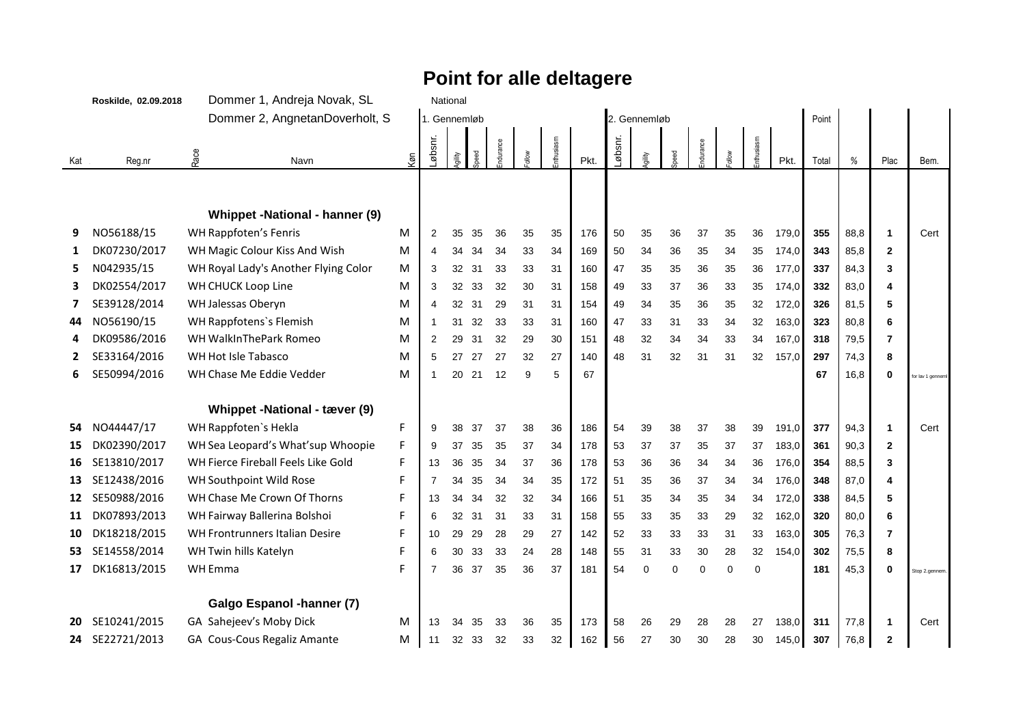## **Point for alle deltagere**

|     | Roskilde, 02.09.2018 |      | Dommer 1, Andreja Novak, SL          |     |              | National |      |          |       |           |      |         |              |          |          |          |          |       |       |      |              |                   |
|-----|----------------------|------|--------------------------------------|-----|--------------|----------|------|----------|-------|-----------|------|---------|--------------|----------|----------|----------|----------|-------|-------|------|--------------|-------------------|
|     |                      |      | Dommer 2, AngnetanDoverholt, S       |     | 1. Gennemløb |          |      |          |       |           |      |         | 2. Gennemløb |          |          |          |          |       | Point |      |              |                   |
| Kat | Reg.nr               | Race | Navn                                 | Køn | _øbsnr.      | Ajility  | peed | ndurance | ollow | nthusiasm | Pkt. | Løbsnr. | gility       | beed     | ndurance | NоW      | thusiasm | Pkt.  | Total | %    | Plac         | Bem.              |
|     |                      |      |                                      |     |              |          |      |          |       |           |      |         |              |          |          |          |          |       |       |      |              |                   |
|     |                      |      | Whippet -National - hanner (9)       |     |              |          |      |          |       |           |      |         |              |          |          |          |          |       |       |      |              |                   |
| 9   | NO56188/15           |      | WH Rappfoten's Fenris                | M   | 2            | 35       | 35   | 36       | 35    | 35        | 176  | 50      | 35           | 36       | 37       | 35       | 36       | 179,0 | 355   | 88,8 | $\mathbf{1}$ | Cert              |
| 1   | DK07230/2017         |      | WH Magic Colour Kiss And Wish        | M   | 4            | 34       | 34   | 34       | 33    | 34        | 169  | 50      | 34           | 36       | 35       | 34       | 35       | 174,0 | 343   | 85,8 | $\mathbf{2}$ |                   |
| 5   | N042935/15           |      | WH Royal Lady's Another Flying Color | M   | 3            | 32       | 31   | 33       | 33    | 31        | 160  | 47      | 35           | 35       | 36       | 35       | 36       | 177,0 | 337   | 84,3 | 3            |                   |
| 3   | DK02554/2017         |      | WH CHUCK Loop Line                   | M   | 3            | 32       | 33   | 32       | 30    | 31        | 158  | 49      | 33           | 37       | 36       | 33       | 35       | 174,0 | 332   | 83,0 |              |                   |
|     | SE39128/2014         |      | WH Jalessas Oberyn                   | M   | 4            | 32       | 31   | 29       | 31    | 31        | 154  | 49      | 34           | 35       | 36       | 35       | 32       | 172,0 | 326   | 81,5 | 5            |                   |
| 44  | NO56190/15           |      | WH Rappfotens's Flemish              | M   | $\mathbf 1$  | 31       | 32   | 33       | 33    | 31        | 160  | 47      | 33           | 31       | 33       | 34       | 32       | 163,0 | 323   | 80,8 | 6            |                   |
|     | DK09586/2016         |      | WH WalkInThePark Romeo               | M   | 2            | 29       | 31   | 32       | 29    | 30        | 151  | 48      | 32           | 34       | 34       | 33       | 34       | 167,0 | 318   | 79,5 | 7            |                   |
|     | SE33164/2016         |      | WH Hot Isle Tabasco                  | М   | 5            | 27       | 27   | 27       | 32    | 27        | 140  | 48      | 31           | 32       | 31       | 31       | 32       | 157,0 | 297   | 74,3 | 8            |                   |
| 6   | SE50994/2016         |      | WH Chase Me Eddie Vedder             | M   | -1           | 20       | 21   | 12       | 9     | 5         | 67   |         |              |          |          |          |          |       | 67    | 16,8 | $\bf{0}$     | for lav 1 genneml |
|     |                      |      |                                      |     |              |          |      |          |       |           |      |         |              |          |          |          |          |       |       |      |              |                   |
|     |                      |      | Whippet -National - tæver (9)        |     |              |          |      |          |       |           |      |         |              |          |          |          |          |       |       |      |              |                   |
| 54  | NO44447/17           |      | WH Rappfoten's Hekla                 | F   | 9            | 38       | 37   | 37       | 38    | 36        | 186  | 54      | 39           | 38       | 37       | 38       | 39       | 191,0 | 377   | 94,3 | $\mathbf{1}$ | Cert              |
| 15  | DK02390/2017         |      | WH Sea Leopard's What'sup Whoopie    | F   | 9            | 37       | 35   | 35       | 37    | 34        | 178  | 53      | 37           | 37       | 35       | 37       | 37       | 183,0 | 361   | 90,3 | $\mathbf{2}$ |                   |
| 16  | SE13810/2017         |      | WH Fierce Fireball Feels Like Gold   | F   | 13           | 36       | 35   | 34       | 37    | 36        | 178  | 53      | 36           | 36       | 34       | 34       | 36       | 176,0 | 354   | 88,5 | 3            |                   |
| 13  | SE12438/2016         |      | WH Southpoint Wild Rose              | F   | 7            | 34       | 35   | 34       | 34    | 35        | 172  | 51      | 35           | 36       | 37       | 34       | 34       | 176,0 | 348   | 87,0 | 4            |                   |
| 12  | SE50988/2016         |      | WH Chase Me Crown Of Thorns          | F   | 13           | 34       | 34   | 32       | 32    | 34        | 166  | 51      | 35           | 34       | 35       | 34       | 34       | 172,0 | 338   | 84,5 | 5            |                   |
| 11  | DK07893/2013         |      | WH Fairway Ballerina Bolshoi         | F   | 6            | 32       | 31   | 31       | 33    | 31        | 158  | 55      | 33           | 35       | 33       | 29       | 32       | 162,0 | 320   | 80,0 | 6            |                   |
| 10  | DK18218/2015         |      | WH Frontrunners Italian Desire       | F   | 10           | 29       | 29   | 28       | 29    | 27        | 142  | 52      | 33           | 33       | 33       | 31       | 33       | 163,0 | 305   | 76,3 | 7            |                   |
| 53  | SE14558/2014         |      | WH Twin hills Katelyn                | F   | 6            | 30       | 33   | 33       | 24    | 28        | 148  | 55      | 31           | 33       | 30       | 28       | 32       | 154.0 | 302   | 75,5 | 8            |                   |
| 17  | DK16813/2015         |      | WH Emma                              | F   | 7            | 36       | 37   | 35       | 36    | 37        | 181  | 54      | $\Omega$     | $\Omega$ | $\Omega$ | $\Omega$ | $\Omega$ |       | 181   | 45,3 | O            | Stop 2.gennem.    |
|     |                      |      | Galgo Espanol -hanner (7)            |     |              |          |      |          |       |           |      |         |              |          |          |          |          |       |       |      |              |                   |
| 20  | SE10241/2015         |      | GA Sahejeev's Moby Dick              | M   | 13           | 34       | 35   | 33       | 36    | 35        | 173  | 58      | 26           | 29       | 28       | 28       | 27       | 138,0 | 311   | 77,8 | 1            | Cert              |
| 24  | SE22721/2013         |      | GA Cous-Cous Regaliz Amante          | M   | 11           | 32       | 33   | 32       | 33    | 32        | 162  | 56      | 27           | 30       | 30       | 28       | 30       | 145,0 | 307   | 76,8 | $\mathbf{2}$ |                   |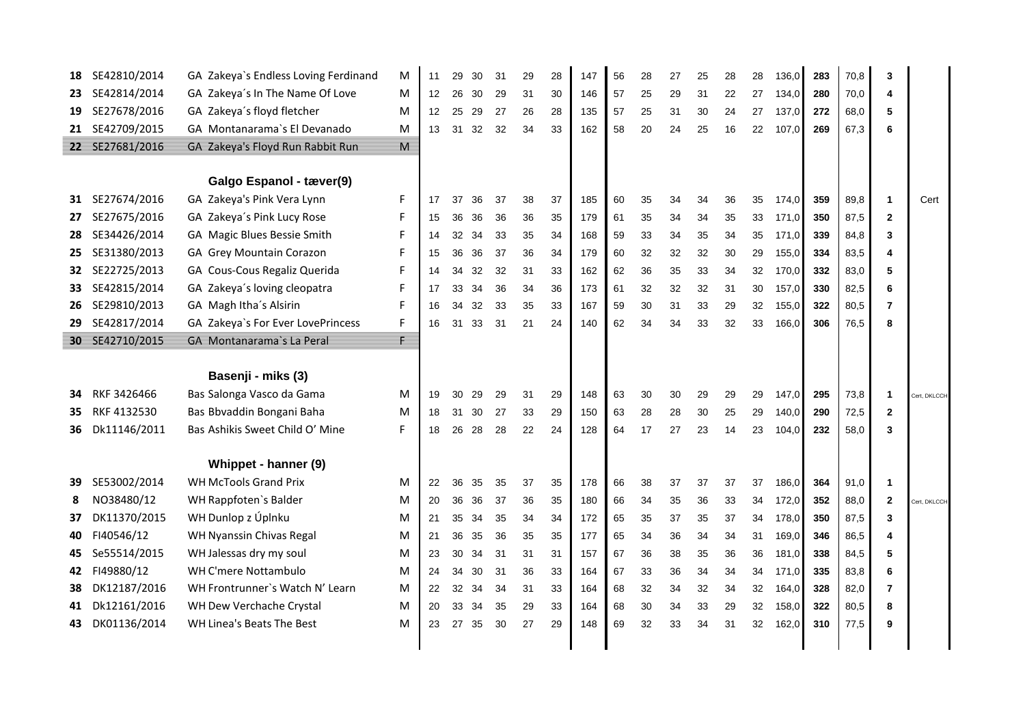| 18  | SE42810/2014    | GA Zakeya's Endless Loving Ferdinand | M                       | 11 | 29 | 30 | 31 | 29 | 28 | 147 | 56 | 28 | 27 | 25 | 28 | 28 | 136,0 | 283 | 70,8 | 3              |              |
|-----|-----------------|--------------------------------------|-------------------------|----|----|----|----|----|----|-----|----|----|----|----|----|----|-------|-----|------|----------------|--------------|
| 23. | SE42814/2014    | GA Zakeya's In The Name Of Love      | M                       | 12 | 26 | 30 | 29 | 31 | 30 | 146 | 57 | 25 | 29 | 31 | 22 | 27 | 134,0 | 280 | 70,0 | 4              |              |
| 19  | SE27678/2016    | GA Zakeya's floyd fletcher           | M                       | 12 | 25 | 29 | 27 | 26 | 28 | 135 | 57 | 25 | 31 | 30 | 24 | 27 | 137.0 | 272 | 68.0 | 5              |              |
|     | 21 SE42709/2015 | GA Montanarama's El Devanado         | M                       | 13 | 31 | 32 | 32 | 34 | 33 | 162 | 58 | 20 | 24 | 25 | 16 | 22 | 107,0 | 269 | 67.3 | 6              |              |
|     | 22 SE27681/2016 | GA Zakeya's Floyd Run Rabbit Run     | $\overline{\mathsf{M}}$ |    |    |    |    |    |    |     |    |    |    |    |    |    |       |     |      |                |              |
|     |                 |                                      |                         |    |    |    |    |    |    |     |    |    |    |    |    |    |       |     |      |                |              |
|     |                 | Galgo Espanol - tæver(9)             |                         |    |    |    |    |    |    |     |    |    |    |    |    |    |       |     |      |                |              |
| 31  | SE27674/2016    | GA Zakeya's Pink Vera Lynn           | F                       | 17 | 37 | 36 | 37 | 38 | 37 | 185 | 60 | 35 | 34 | 34 | 36 | 35 | 174,0 | 359 | 89,8 | -1             | Cert         |
| 27  | SE27675/2016    | GA Zakeya's Pink Lucy Rose           | F                       | 15 | 36 | 36 | 36 | 36 | 35 | 179 | 61 | 35 | 34 | 34 | 35 | 33 | 171.0 | 350 | 87.5 | $\mathbf{2}$   |              |
| 28  | SE34426/2014    | GA Magic Blues Bessie Smith          | F                       | 14 | 32 | 34 | 33 | 35 | 34 | 168 | 59 | 33 | 34 | 35 | 34 | 35 | 171,0 | 339 | 84,8 | 3              |              |
| 25  | SE31380/2013    | GA Grey Mountain Corazon             | F                       | 15 | 36 | 36 | 37 | 36 | 34 | 179 | 60 | 32 | 32 | 32 | 30 | 29 | 155,0 | 334 | 83,5 | 4              |              |
| 32  | SE22725/2013    | GA Cous-Cous Regaliz Querida         | F                       | 14 | 34 | 32 | 32 | 31 | 33 | 162 | 62 | 36 | 35 | 33 | 34 | 32 | 170,0 | 332 | 83,0 | 5              |              |
| 33  | SE42815/2014    | GA Zakeya's loving cleopatra         | F                       | 17 | 33 | 34 | 36 | 34 | 36 | 173 | 61 | 32 | 32 | 32 | 31 | 30 | 157,0 | 330 | 82,5 | 6              |              |
| 26  | SE29810/2013    | GA Magh Itha's Alsirin               | F                       | 16 | 34 | 32 | 33 | 35 | 33 | 167 | 59 | 30 | 31 | 33 | 29 | 32 | 155,0 | 322 | 80,5 | $\overline{7}$ |              |
| 29  | SE42817/2014    | GA Zakeya's For Ever LovePrincess    | F                       | 16 | 31 | 33 | 31 | 21 | 24 | 140 | 62 | 34 | 34 | 33 | 32 | 33 | 166,0 | 306 | 76,5 | 8              |              |
|     | 30 SE42710/2015 | GA Montanarama's La Peral            | E                       |    |    |    |    |    |    |     |    |    |    |    |    |    |       |     |      |                |              |
|     |                 |                                      |                         |    |    |    |    |    |    |     |    |    |    |    |    |    |       |     |      |                |              |
|     |                 | Basenji - miks (3)                   |                         |    |    |    |    |    |    |     |    |    |    |    |    |    |       |     |      |                |              |
| 34. | RKF 3426466     | Bas Salonga Vasco da Gama            | M                       | 19 | 30 | 29 | 29 | 31 | 29 | 148 | 63 | 30 | 30 | 29 | 29 | 29 | 147,0 | 295 | 73,8 | 1              | Cert, DKLCCH |
| 35  | RKF 4132530     | Bas Bbvaddin Bongani Baha            | M                       | 18 | 31 | 30 | 27 | 33 | 29 | 150 | 63 | 28 | 28 | 30 | 25 | 29 | 140.0 | 290 | 72,5 | $\mathbf{2}$   |              |
| 36  | Dk11146/2011    | Bas Ashikis Sweet Child O' Mine      | F                       | 18 | 26 | 28 | 28 | 22 | 24 | 128 | 64 | 17 | 27 | 23 | 14 | 23 | 104.0 | 232 | 58,0 | 3              |              |
|     |                 |                                      |                         |    |    |    |    |    |    |     |    |    |    |    |    |    |       |     |      |                |              |
|     |                 | Whippet - hanner (9)                 |                         |    |    |    |    |    |    |     |    |    |    |    |    |    |       |     |      |                |              |
| 39  | SE53002/2014    | <b>WH McTools Grand Prix</b>         | M                       | 22 | 36 | 35 | 35 | 37 | 35 | 178 | 66 | 38 | 37 | 37 | 37 | 37 | 186,0 | 364 | 91,0 | 1              |              |
| 8   | NO38480/12      | WH Rappfoten's Balder                | M                       | 20 | 36 | 36 | 37 | 36 | 35 | 180 | 66 | 34 | 35 | 36 | 33 | 34 | 172,0 | 352 | 88,0 | $\mathbf{2}$   | Cert, DKLCCH |
| 37  | DK11370/2015    | WH Dunlop z Úplnku                   | M                       | 21 | 35 | 34 | 35 | 34 | 34 | 172 | 65 | 35 | 37 | 35 | 37 | 34 | 178,0 | 350 | 87,5 | 3              |              |
| 40  | FI40546/12      | WH Nyanssin Chivas Regal             | M                       | 21 | 36 | 35 | 36 | 35 | 35 | 177 | 65 | 34 | 36 | 34 | 34 | 31 | 169,0 | 346 | 86,5 | 4              |              |
| 45  | Se55514/2015    | WH Jalessas dry my soul              | M                       | 23 | 30 | 34 | 31 | 31 | 31 | 157 | 67 | 36 | 38 | 35 | 36 | 36 | 181,0 | 338 | 84.5 | 5              |              |
| 42  | FI49880/12      | <b>WH C'mere Nottambulo</b>          | M                       | 24 | 34 | 30 | 31 | 36 | 33 | 164 | 67 | 33 | 36 | 34 | 34 | 34 | 171,0 | 335 | 83,8 | 6              |              |
| 38  | DK12187/2016    | WH Frontrunner's Watch N' Learn      | M                       | 22 | 32 | 34 | 34 | 31 | 33 | 164 | 68 | 32 | 34 | 32 | 34 | 32 | 164,0 | 328 | 82.0 | 7              |              |
| 41  | Dk12161/2016    | WH Dew Verchache Crystal             | M                       | 20 | 33 | 34 | 35 | 29 | 33 | 164 | 68 | 30 | 34 | 33 | 29 | 32 | 158.0 | 322 | 80.5 | 8              |              |
| 43  | DK01136/2014    | WH Linea's Beats The Best            | M                       | 23 | 27 | 35 | 30 | 27 | 29 | 148 | 69 | 32 | 33 | 34 | 31 | 32 | 162,0 | 310 | 77,5 | 9              |              |
|     |                 |                                      |                         |    |    |    |    |    |    |     |    |    |    |    |    |    |       |     |      |                |              |
|     |                 |                                      |                         |    |    |    |    |    |    |     |    |    |    |    |    |    |       |     |      |                |              |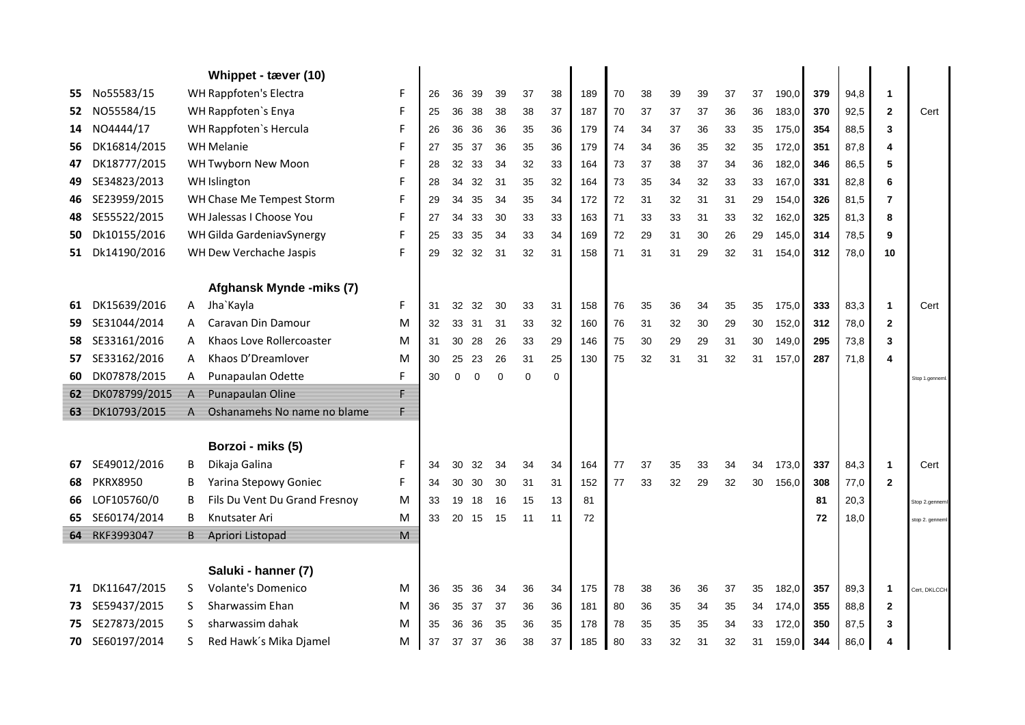|      |                 |   | Whippet - tæver (10)          |   |    |          |          |          |          |          |     |    |    |    |    |    |    |       |     |      |                |                 |
|------|-----------------|---|-------------------------------|---|----|----------|----------|----------|----------|----------|-----|----|----|----|----|----|----|-------|-----|------|----------------|-----------------|
| 55   | No55583/15      |   | WH Rappfoten's Electra        | F | 26 | 36       | 39       | 39       | 37       | 38       | 189 | 70 | 38 | 39 | 39 | 37 | 37 | 190,0 | 379 | 94,8 | $\mathbf{1}$   |                 |
| 52   | NO55584/15      |   | WH Rappfoten's Enya           | F | 25 | 36       | 38       | 38       | 38       | 37       | 187 | 70 | 37 | 37 | 37 | 36 | 36 | 183,0 | 370 | 92,5 | $\overline{2}$ | Cert            |
| 14   | NO4444/17       |   | WH Rappfoten's Hercula        | F | 26 | 36       | 36       | 36       | 35       | 36       | 179 | 74 | 34 | 37 | 36 | 33 | 35 | 175,0 | 354 | 88,5 | 3              |                 |
| 56   | DK16814/2015    |   | <b>WH Melanie</b>             | F | 27 | 35       | 37       | 36       | 35       | 36       | 179 | 74 | 34 | 36 | 35 | 32 | 35 | 172,0 | 351 | 87,8 | $\overline{4}$ |                 |
| 47   | DK18777/2015    |   | WH Twyborn New Moon           | F | 28 | 32       | 33       | 34       | 32       | 33       | 164 | 73 | 37 | 38 | 37 | 34 | 36 | 182,0 | 346 | 86,5 | 5              |                 |
| 49   | SE34823/2013    |   | WH Islington                  | F | 28 | 34       | 32       | 31       | 35       | 32       | 164 | 73 | 35 | 34 | 32 | 33 | 33 | 167,0 | 331 | 82,8 | 6              |                 |
| 46   | SE23959/2015    |   | WH Chase Me Tempest Storm     | F | 29 | 34       | 35       | 34       | 35       | 34       | 172 | 72 | 31 | 32 | 31 | 31 | 29 | 154,0 | 326 | 81,5 | 7              |                 |
| 48   | SE55522/2015    |   | WH Jalessas I Choose You      | F | 27 | 34       | 33       | 30       | 33       | 33       | 163 | 71 | 33 | 33 | 31 | 33 | 32 | 162,0 | 325 | 81,3 | 8              |                 |
| 50   | Dk10155/2016    |   | WH Gilda GardeniavSynergy     | F | 25 | 33       | 35       | 34       | 33       | 34       | 169 | 72 | 29 | 31 | 30 | 26 | 29 | 145,0 | 314 | 78,5 | 9              |                 |
| 51   | Dk14190/2016    |   | WH Dew Verchache Jaspis       | F | 29 | 32       | 32       | 31       | 32       | 31       | 158 | 71 | 31 | 31 | 29 | 32 | 31 | 154.0 | 312 | 78,0 | 10             |                 |
|      |                 |   |                               |   |    |          |          |          |          |          |     |    |    |    |    |    |    |       |     |      |                |                 |
|      |                 |   | Afghansk Mynde -miks (7)      |   |    |          |          |          |          |          |     |    |    |    |    |    |    |       |     |      |                |                 |
| 61   | DK15639/2016    | A | Jha`Kayla                     | F | 31 | 32       | 32       | 30       | 33       | 31       | 158 | 76 | 35 | 36 | 34 | 35 | 35 | 175,0 | 333 | 83,3 | $\mathbf{1}$   | Cert            |
| 59   | SE31044/2014    | A | Caravan Din Damour            | M | 32 | 33       | 31       | 31       | 33       | 32       | 160 | 76 | 31 | 32 | 30 | 29 | 30 | 152,0 | 312 | 78,0 | $\overline{2}$ |                 |
| 58   | SE33161/2016    | A | Khaos Love Rollercoaster      | M | 31 | 30       | 28       | 26       | 33       | 29       | 146 | 75 | 30 | 29 | 29 | 31 | 30 | 149,0 | 295 | 73,8 | 3              |                 |
| 57   | SE33162/2016    | A | Khaos D'Dreamlover            | M | 30 | 25       | 23       | 26       | 31       | 25       | 130 | 75 | 32 | 31 | 31 | 32 | 31 | 157.0 | 287 | 71,8 | $\overline{4}$ |                 |
| 60   | DK07878/2015    | A | Punapaulan Odette             | F | 30 | $\Omega$ | $\Omega$ | $\Omega$ | $\Omega$ | $\Omega$ |     |    |    |    |    |    |    |       |     |      |                | Stop 1.genneml. |
| 62 = | DK078799/2015   | Α | Punapaulan Oline              | F |    |          |          |          |          |          |     |    |    |    |    |    |    |       |     |      |                |                 |
|      | 63 DK10793/2015 | А | Oshanamehs No name no blame   |   |    |          |          |          |          |          |     |    |    |    |    |    |    |       |     |      |                |                 |
|      |                 |   |                               |   |    |          |          |          |          |          |     |    |    |    |    |    |    |       |     |      |                |                 |
|      |                 |   | Borzoi - miks (5)             |   |    |          |          |          |          |          |     |    |    |    |    |    |    |       |     |      |                |                 |
| 67   | SE49012/2016    | B | Dikaja Galina                 | F | 34 | 30       | 32       | 34       | 34       | 34       | 164 | 77 | 37 | 35 | 33 | 34 | 34 | 173,0 | 337 | 84,3 | $\mathbf{1}$   | Cert            |
| 68   | <b>PKRX8950</b> | B | Yarina Stepowy Goniec         | F | 34 | 30       | 30       | 30       | 31       | 31       | 152 | 77 | 33 | 32 | 29 | 32 | 30 | 156.0 | 308 | 77,0 | $\mathbf{2}$   |                 |
| 66   | LOF105760/0     | B | Fils Du Vent Du Grand Fresnoy | M | 33 | 19       | 18       | 16       | 15       | 13       | 81  |    |    |    |    |    |    |       | 81  | 20,3 |                | Stop 2.genneml  |
| 65   | SE60174/2014    | В | Knutsater Ari                 | M | 33 | 20       | 15       | 15       | 11       | 11       | 72  |    |    |    |    |    |    |       | 72  | 18,0 |                | stop 2. genneml |
|      | 64 RKF3993047   | В | Apriori Listopad              | М |    |          |          |          |          |          |     |    |    |    |    |    |    |       |     |      |                |                 |
|      |                 |   |                               |   |    |          |          |          |          |          |     |    |    |    |    |    |    |       |     |      |                |                 |
|      |                 |   | Saluki - hanner (7)           |   |    |          |          |          |          |          |     |    |    |    |    |    |    |       |     |      |                |                 |
| 71   | DK11647/2015    | S | <b>Volante's Domenico</b>     | M | 36 | 35       | 36       | 34       | 36       | 34       | 175 | 78 | 38 | 36 | 36 | 37 | 35 | 182,0 | 357 | 89,3 | $\mathbf{1}$   | Cert, DKLCCH    |
| 73.  | SE59437/2015    | S | Sharwassim Ehan               | M | 36 | 35       | 37       | 37       | 36       | 36       | 181 | 80 | 36 | 35 | 34 | 35 | 34 | 174,0 | 355 | 88,8 | $\mathbf{2}$   |                 |
| 75   | SE27873/2015    | S | sharwassim dahak              | M | 35 | 36       | 36       | 35       | 36       | 35       | 178 | 78 | 35 | 35 | 35 | 34 | 33 | 172,0 | 350 | 87,5 | 3              |                 |
| 70   | SE60197/2014    | S | Red Hawk's Mika Djamel        | M | 37 | 37       | 37       | 36       | 38       | 37       | 185 | 80 | 33 | 32 | 31 | 32 | 31 | 159,0 | 344 | 86,0 | 4              |                 |